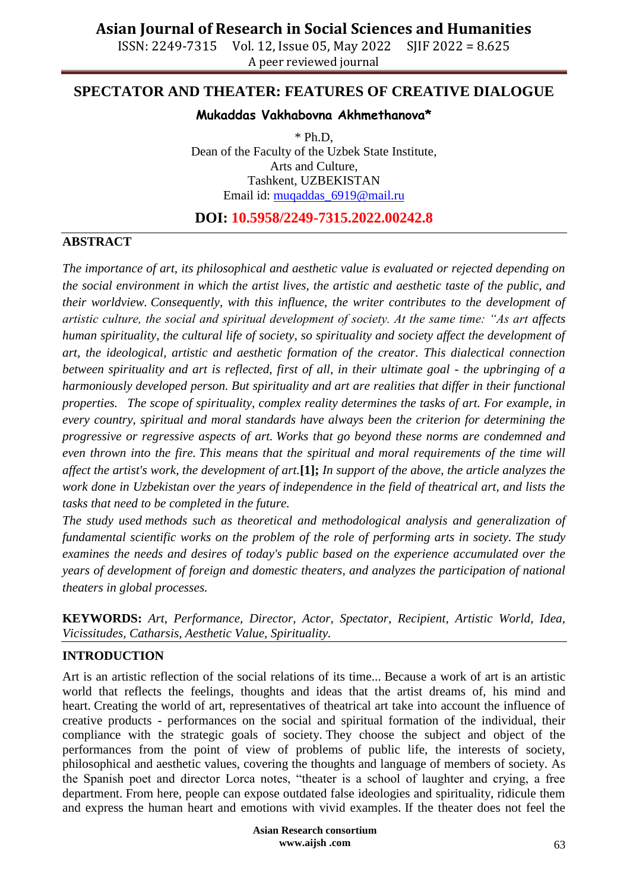ISSN: 2249-7315 Vol. 12, Issue 05, May 2022 SJIF 2022 = 8.625 A peer reviewed journal

## **SPECTATOR AND THEATER: FEATURES OF CREATIVE DIALOGUE**

### **Mukaddas Vakhabovna Akhmethanova\***

 $*$  Ph.D. Dean of the Faculty of the Uzbek State Institute, Arts and Culture, Tashkent, UZBEKISTAN Email id: [muqaddas\\_6919@mail.ru](mailto:muqaddas_6919@mail.ru)

**DOI: 10.5958/2249-7315.2022.00242.8**

#### **ABSTRACT**

*The importance of art, its philosophical and aesthetic value is evaluated or rejected depending on the social environment in which the artist lives, the artistic and aesthetic taste of the public, and their worldview. Consequently, with this influence, the writer contributes to the development of artistic culture, the social and spiritual development of society. At the same time: "As art affects human spirituality, the cultural life of society, so spirituality and society affect the development of art, the ideological, artistic and aesthetic formation of the creator. This dialectical connection between spirituality and art is reflected, first of all, in their ultimate goal - the upbringing of a harmoniously developed person. But spirituality and art are realities that differ in their functional properties. The scope of spirituality, complex reality determines the tasks of art. For example, in every country, spiritual and moral standards have always been the criterion for determining the progressive or regressive aspects of art. Works that go beyond these norms are condemned and even thrown into the fire. This means that the spiritual and moral requirements of the time will affect the artist's work, the development of art.***[1];** *In support of the above, the article analyzes the work done in Uzbekistan over the years of independence in the field of theatrical art, and lists the tasks that need to be completed in the future.*

*The study used methods such as theoretical and methodological analysis and generalization of fundamental scientific works on the problem of the role of performing arts in society. The study examines the needs and desires of today's public based on the experience accumulated over the years of development of foreign and domestic theaters, and analyzes the participation of national theaters in global processes.*

**KEYWORDS:** *Art, Performance, Director, Actor, Spectator, Recipient, Artistic World, Idea, Vicissitudes, Catharsis, Aesthetic Value, Spirituality.*

### **INTRODUCTION**

Art is an artistic reflection of the social relations of its time... Because a work of art is an artistic world that reflects the feelings, thoughts and ideas that the artist dreams of, his mind and heart. Creating the world of art, representatives of theatrical art take into account the influence of creative products - performances on the social and spiritual formation of the individual, their compliance with the strategic goals of society. They choose the subject and object of the performances from the point of view of problems of public life, the interests of society, philosophical and aesthetic values, covering the thoughts and language of members of society. As the Spanish poet and director Lorca notes, "theater is a school of laughter and crying, a free department. From here, people can expose outdated false ideologies and spirituality, ridicule them and express the human heart and emotions with vivid examples. If the theater does not feel the

> **Asian Research consortium www.aijsh .com**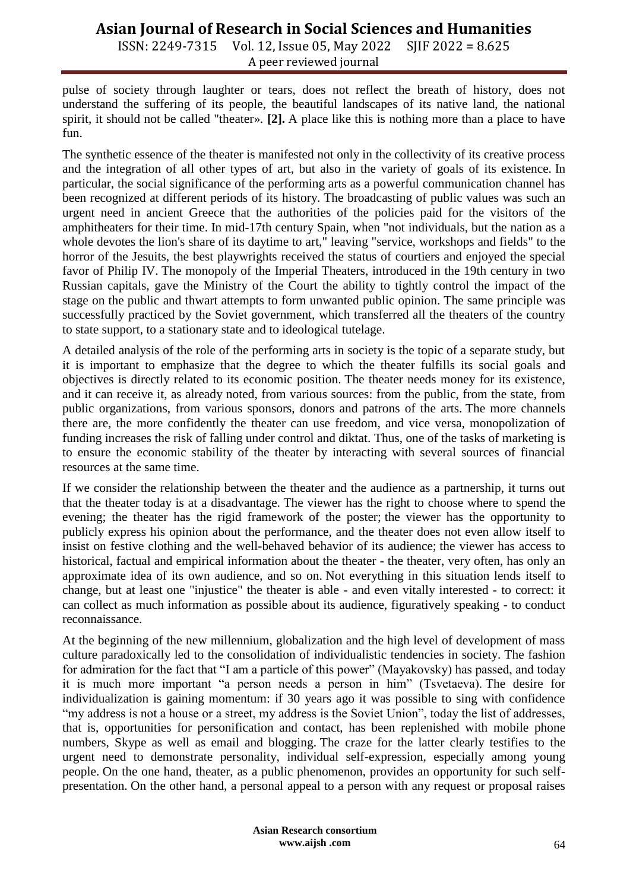ISSN: 2249-7315 Vol. 12, Issue 05, May 2022 SJIF 2022 = 8.625 A peer reviewed journal

pulse of society through laughter or tears, does not reflect the breath of history, does not understand the suffering of its people, the beautiful landscapes of its native land, the national spirit, it should not be called "theater». **[2].** A place like this is nothing more than a place to have fun.

The synthetic essence of the theater is manifested not only in the collectivity of its creative process and the integration of all other types of art, but also in the variety of goals of its existence. In particular, the social significance of the performing arts as a powerful communication channel has been recognized at different periods of its history. The broadcasting of public values was such an urgent need in ancient Greece that the authorities of the policies paid for the visitors of the amphitheaters for their time. In mid-17th century Spain, when "not individuals, but the nation as a whole devotes the lion's share of its daytime to art," leaving "service, workshops and fields" to the horror of the Jesuits, the best playwrights received the status of courtiers and enjoyed the special favor of Philip IV. The monopoly of the Imperial Theaters, introduced in the 19th century in two Russian capitals, gave the Ministry of the Court the ability to tightly control the impact of the stage on the public and thwart attempts to form unwanted public opinion. The same principle was successfully practiced by the Soviet government, which transferred all the theaters of the country to state support, to a stationary state and to ideological tutelage.

A detailed analysis of the role of the performing arts in society is the topic of a separate study, but it is important to emphasize that the degree to which the theater fulfills its social goals and objectives is directly related to its economic position. The theater needs money for its existence, and it can receive it, as already noted, from various sources: from the public, from the state, from public organizations, from various sponsors, donors and patrons of the arts. The more channels there are, the more confidently the theater can use freedom, and vice versa, monopolization of funding increases the risk of falling under control and diktat. Thus, one of the tasks of marketing is to ensure the economic stability of the theater by interacting with several sources of financial resources at the same time.

If we consider the relationship between the theater and the audience as a partnership, it turns out that the theater today is at a disadvantage. The viewer has the right to choose where to spend the evening; the theater has the rigid framework of the poster; the viewer has the opportunity to publicly express his opinion about the performance, and the theater does not even allow itself to insist on festive clothing and the well-behaved behavior of its audience; the viewer has access to historical, factual and empirical information about the theater - the theater, very often, has only an approximate idea of its own audience, and so on. Not everything in this situation lends itself to change, but at least one "injustice" the theater is able - and even vitally interested - to correct: it can collect as much information as possible about its audience, figuratively speaking - to conduct reconnaissance.

At the beginning of the new millennium, globalization and the high level of development of mass culture paradoxically led to the consolidation of individualistic tendencies in society. The fashion for admiration for the fact that "I am a particle of this power" (Mayakovsky) has passed, and today it is much more important "a person needs a person in him" (Tsvetaeva). The desire for individualization is gaining momentum: if 30 years ago it was possible to sing with confidence "my address is not a house or a street, my address is the Soviet Union", today the list of addresses, that is, opportunities for personification and contact, has been replenished with mobile phone numbers, Skype as well as email and blogging. The craze for the latter clearly testifies to the urgent need to demonstrate personality, individual self-expression, especially among young people. On the one hand, theater, as a public phenomenon, provides an opportunity for such selfpresentation. On the other hand, a personal appeal to a person with any request or proposal raises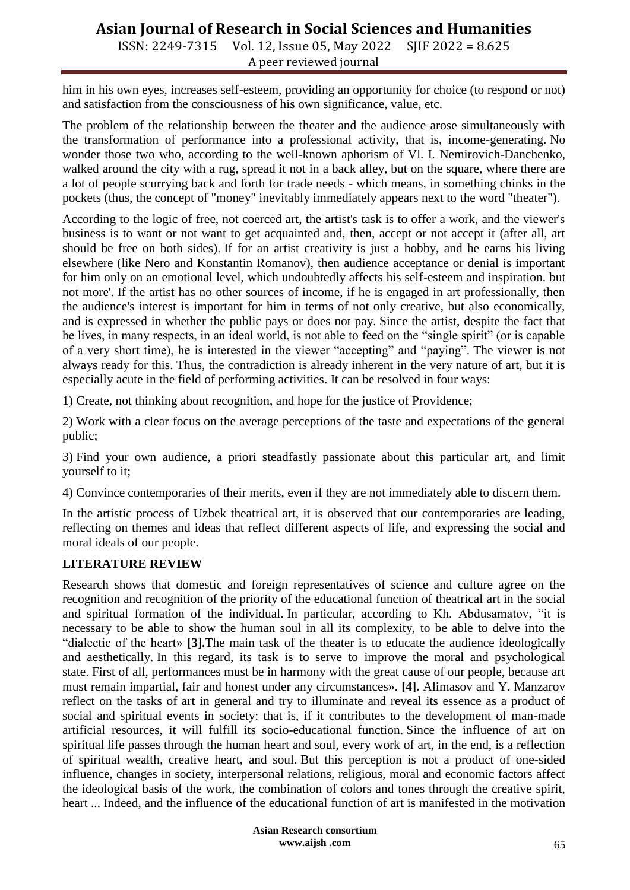ISSN: 2249-7315 Vol. 12, Issue 05, May 2022 SJIF 2022 = 8.625 A peer reviewed journal

him in his own eyes, increases self-esteem, providing an opportunity for choice (to respond or not) and satisfaction from the consciousness of his own significance, value, etc.

The problem of the relationship between the theater and the audience arose simultaneously with the transformation of performance into a professional activity, that is, income-generating. No wonder those two who, according to the well-known aphorism of Vl. I. Nemirovich-Danchenko, walked around the city with a rug, spread it not in a back alley, but on the square, where there are a lot of people scurrying back and forth for trade needs - which means, in something chinks in the pockets (thus, the concept of "money" inevitably immediately appears next to the word "theater").

According to the logic of free, not coerced art, the artist's task is to offer a work, and the viewer's business is to want or not want to get acquainted and, then, accept or not accept it (after all, art should be free on both sides). If for an artist creativity is just a hobby, and he earns his living elsewhere (like Nero and Konstantin Romanov), then audience acceptance or denial is important for him only on an emotional level, which undoubtedly affects his self-esteem and inspiration. but not more'. If the artist has no other sources of income, if he is engaged in art professionally, then the audience's interest is important for him in terms of not only creative, but also economically, and is expressed in whether the public pays or does not pay. Since the artist, despite the fact that he lives, in many respects, in an ideal world, is not able to feed on the "single spirit" (or is capable of a very short time), he is interested in the viewer "accepting" and "paying". The viewer is not always ready for this. Thus, the contradiction is already inherent in the very nature of art, but it is especially acute in the field of performing activities. It can be resolved in four ways:

1) Create, not thinking about recognition, and hope for the justice of Providence;

2) Work with a clear focus on the average perceptions of the taste and expectations of the general public;

3) Find your own audience, a priori steadfastly passionate about this particular art, and limit yourself to it;

4) Convince contemporaries of their merits, even if they are not immediately able to discern them.

In the artistic process of Uzbek theatrical art, it is observed that our contemporaries are leading, reflecting on themes and ideas that reflect different aspects of life, and expressing the social and moral ideals of our people.

### **LITERATURE REVIEW**

Research shows that domestic and foreign representatives of science and culture agree on the recognition and recognition of the priority of the educational function of theatrical art in the social and spiritual formation of the individual. In particular, according to Kh. Abdusamatov, "it is necessary to be able to show the human soul in all its complexity, to be able to delve into the "dialectic of the heart» **[3].**The main task of the theater is to educate the audience ideologically and aesthetically. In this regard, its task is to serve to improve the moral and psychological state. First of all, performances must be in harmony with the great cause of our people, because art must remain impartial, fair and honest under any circumstances». **[4].** Alimasov and Y. Manzarov reflect on the tasks of art in general and try to illuminate and reveal its essence as a product of social and spiritual events in society: that is, if it contributes to the development of man-made artificial resources, it will fulfill its socio-educational function. Since the influence of art on spiritual life passes through the human heart and soul, every work of art, in the end, is a reflection of spiritual wealth, creative heart, and soul. But this perception is not a product of one-sided influence, changes in society, interpersonal relations, religious, moral and economic factors affect the ideological basis of the work, the combination of colors and tones through the creative spirit, heart ... Indeed, and the influence of the educational function of art is manifested in the motivation

> **Asian Research consortium www.aijsh .com**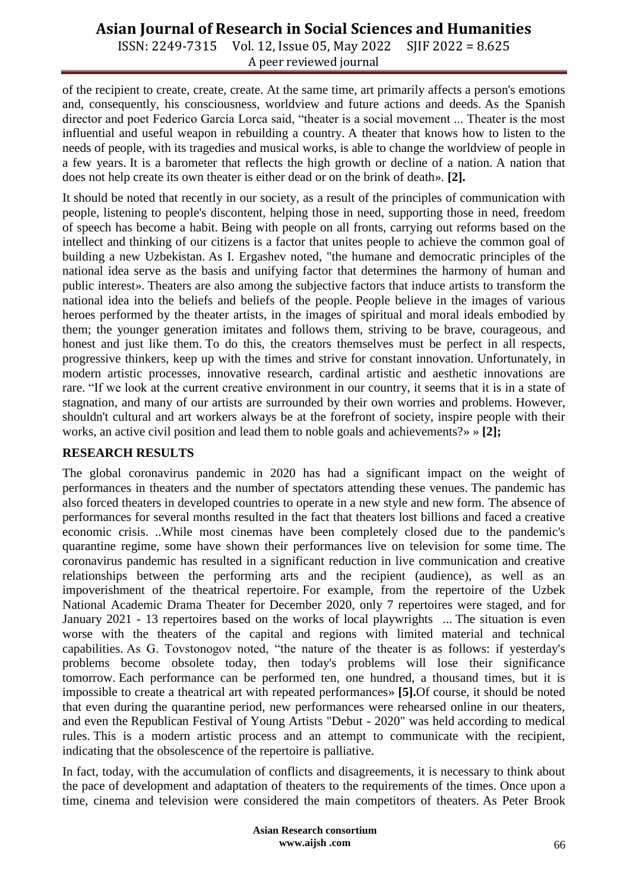ISSN: 2249-7315 Vol. 12, Issue 05, May 2022 SJIF 2022 = 8.625 A peer reviewed journal

of the recipient to create, create, create. At the same time, art primarily affects a person's emotions and, consequently, his consciousness, worldview and future actions and deeds. As the Spanish director and poet Federico García Lorca said, "theater is a social movement ... Theater is the most influential and useful weapon in rebuilding a country. A theater that knows how to listen to the needs of people, with its tragedies and musical works, is able to change the worldview of people in a few years. It is a barometer that reflects the high growth or decline of a nation. A nation that does not help create its own theater is either dead or on the brink of death». **[2].**

It should be noted that recently in our society, as a result of the principles of communication with people, listening to people's discontent, helping those in need, supporting those in need, freedom of speech has become a habit. Being with people on all fronts, carrying out reforms based on the intellect and thinking of our citizens is a factor that unites people to achieve the common goal of building a new Uzbekistan. As I. Ergashev noted, "the humane and democratic principles of the national idea serve as the basis and unifying factor that determines the harmony of human and public interest». Theaters are also among the subjective factors that induce artists to transform the national idea into the beliefs and beliefs of the people. People believe in the images of various heroes performed by the theater artists, in the images of spiritual and moral ideals embodied by them; the younger generation imitates and follows them, striving to be brave, courageous, and honest and just like them. To do this, the creators themselves must be perfect in all respects, progressive thinkers, keep up with the times and strive for constant innovation. Unfortunately, in modern artistic processes, innovative research, cardinal artistic and aesthetic innovations are rare. "If we look at the current creative environment in our country, it seems that it is in a state of stagnation, and many of our artists are surrounded by their own worries and problems. However, shouldn't cultural and art workers always be at the forefront of society, inspire people with their works, an active civil position and lead them to noble goals and achievements?» » **[2];**

### **RESEARCH RESULTS**

The global coronavirus pandemic in 2020 has had a significant impact on the weight of performances in theaters and the number of spectators attending these venues. The pandemic has also forced theaters in developed countries to operate in a new style and new form. The absence of performances for several months resulted in the fact that theaters lost billions and faced a creative economic crisis. ..While most cinemas have been completely closed due to the pandemic's quarantine regime, some have shown their performances live on television for some time. The coronavirus pandemic has resulted in a significant reduction in live communication and creative relationships between the performing arts and the recipient (audience), as well as an impoverishment of the theatrical repertoire. For example, from the repertoire of the Uzbek National Academic Drama Theater for December 2020, only 7 repertoires were staged, and for January 2021 - 13 repertoires based on the works of local playwrights ... The situation is even worse with the theaters of the capital and regions with limited material and technical capabilities. As G. Tovstonogov noted, "the nature of the theater is as follows: if yesterday's problems become obsolete today, then today's problems will lose their significance tomorrow. Each performance can be performed ten, one hundred, a thousand times, but it is impossible to create a theatrical art with repeated performances» **[5].**Of course, it should be noted that even during the quarantine period, new performances were rehearsed online in our theaters, and even the Republican Festival of Young Artists "Debut - 2020" was held according to medical rules. This is a modern artistic process and an attempt to communicate with the recipient, indicating that the obsolescence of the repertoire is palliative.

In fact, today, with the accumulation of conflicts and disagreements, it is necessary to think about the pace of development and adaptation of theaters to the requirements of the times. Once upon a time, cinema and television were considered the main competitors of theaters. As Peter Brook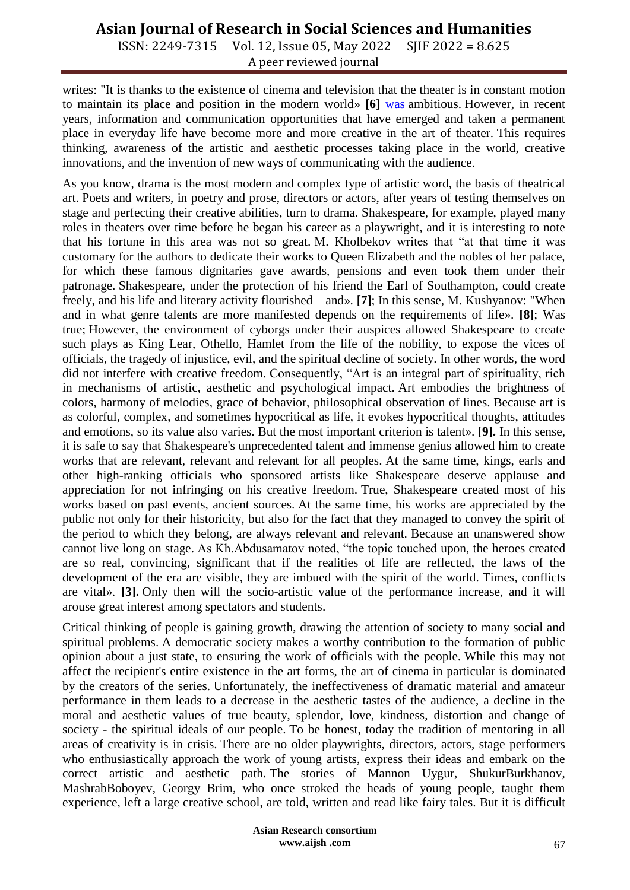ISSN: 2249-7315 Vol. 12, Issue 05, May 2022 SJIF 2022 = 8.625 A peer reviewed journal

writes: "It is thanks to the existence of cinema and television that the theater is in constant motion to maintain its place and position in the modern world» **[6]** [was](https://translate.google.com/translate?hl=ru&prev=_t&sl=ru&tl=en&u=https://translate.google.com/translate%3Fhl%3Dru%26prev%3D_t%26sl%3Den%26tl%3Dru%26u%3Dhttps://translate.googleusercontent.com/translate_f%2523_ftn20%23_ftn20#_ftn20) ambitious. However, in recent years, information and communication opportunities that have emerged and taken a permanent place in everyday life have become more and more creative in the art of theater. This requires thinking, awareness of the artistic and aesthetic processes taking place in the world, creative innovations, and the invention of new ways of communicating with the audience.

As you know, drama is the most modern and complex type of artistic word, the basis of theatrical art. Poets and writers, in poetry and prose, directors or actors, after years of testing themselves on stage and perfecting their creative abilities, turn to drama. Shakespeare, for example, played many roles in theaters over time before he began his career as a playwright, and it is interesting to note that his fortune in this area was not so great. M. Kholbekov writes that "at that time it was customary for the authors to dedicate their works to Queen Elizabeth and the nobles of her palace, for which these famous dignitaries gave awards, pensions and even took them under their patronage. Shakespeare, under the protection of his friend the Earl of Southampton, could create freely, and his life and literary activity flourished and». **[7]**; In this sense, M. Kushyanov: "When and in what genre talents are more manifested depends on the requirements of life». **[8]**; Was true; However, the environment of cyborgs under their auspices allowed Shakespeare to create such plays as King Lear, Othello, Hamlet from the life of the nobility, to expose the vices of officials, the tragedy of injustice, evil, and the spiritual decline of society. In other words, the word did not interfere with creative freedom. Consequently, "Art is an integral part of spirituality, rich in mechanisms of artistic, aesthetic and psychological impact. Art embodies the brightness of colors, harmony of melodies, grace of behavior, philosophical observation of lines. Because art is as colorful, complex, and sometimes hypocritical as life, it evokes hypocritical thoughts, attitudes and emotions, so its value also varies. But the most important criterion is talent». **[9].** In this sense, it is safe to say that Shakespeare's unprecedented talent and immense genius allowed him to create works that are relevant, relevant and relevant for all peoples. At the same time, kings, earls and other high-ranking officials who sponsored artists like Shakespeare deserve applause and appreciation for not infringing on his creative freedom. True, Shakespeare created most of his works based on past events, ancient sources. At the same time, his works are appreciated by the public not only for their historicity, but also for the fact that they managed to convey the spirit of the period to which they belong, are always relevant and relevant. Because an unanswered show cannot live long on stage. As Kh.Abdusamatov noted, "the topic touched upon, the heroes created are so real, convincing, significant that if the realities of life are reflected, the laws of the development of the era are visible, they are imbued with the spirit of the world. Times, conflicts are vital». **[3].** Only then will the socio-artistic value of the performance increase, and it will arouse great interest among spectators and students.

Critical thinking of people is gaining growth, drawing the attention of society to many social and spiritual problems. A democratic society makes a worthy contribution to the formation of public opinion about a just state, to ensuring the work of officials with the people. While this may not affect the recipient's entire existence in the art forms, the art of cinema in particular is dominated by the creators of the series. Unfortunately, the ineffectiveness of dramatic material and amateur performance in them leads to a decrease in the aesthetic tastes of the audience, a decline in the moral and aesthetic values of true beauty, splendor, love, kindness, distortion and change of society - the spiritual ideals of our people. To be honest, today the tradition of mentoring in all areas of creativity is in crisis. There are no older playwrights, directors, actors, stage performers who enthusiastically approach the work of young artists, express their ideas and embark on the correct artistic and aesthetic path. The stories of Mannon Uygur, ShukurBurkhanov, MashrabBoboyev, Georgy Brim, who once stroked the heads of young people, taught them experience, left a large creative school, are told, written and read like fairy tales. But it is difficult

> **Asian Research consortium www.aijsh .com**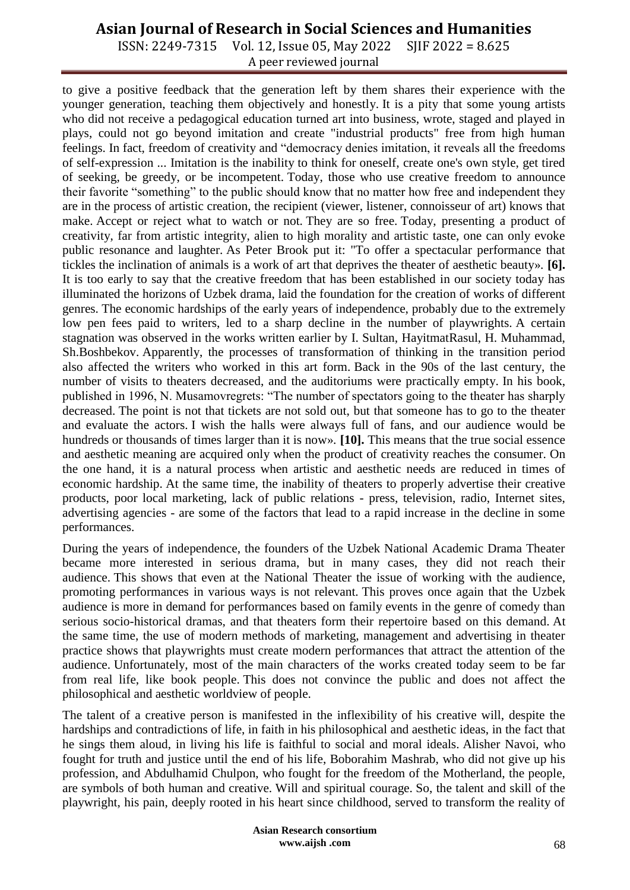ISSN: 2249-7315 Vol. 12, Issue 05, May 2022 SJIF 2022 = 8.625 A peer reviewed journal

to give a positive feedback that the generation left by them shares their experience with the younger generation, teaching them objectively and honestly. It is a pity that some young artists who did not receive a pedagogical education turned art into business, wrote, staged and played in plays, could not go beyond imitation and create "industrial products" free from high human feelings. In fact, freedom of creativity and "democracy denies imitation, it reveals all the freedoms of self-expression ... Imitation is the inability to think for oneself, create one's own style, get tired of seeking, be greedy, or be incompetent. Today, those who use creative freedom to announce their favorite "something" to the public should know that no matter how free and independent they are in the process of artistic creation, the recipient (viewer, listener, connoisseur of art) knows that make. Accept or reject what to watch or not. They are so free. Today, presenting a product of creativity, far from artistic integrity, alien to high morality and artistic taste, one can only evoke public resonance and laughter. As Peter Brook put it: "To offer a spectacular performance that tickles the inclination of animals is a work of art that deprives the theater of aesthetic beauty». **[6].** It is too early to say that the creative freedom that has been established in our society today has illuminated the horizons of Uzbek drama, laid the foundation for the creation of works of different genres. The economic hardships of the early years of independence, probably due to the extremely low pen fees paid to writers, led to a sharp decline in the number of playwrights. A certain stagnation was observed in the works written earlier by I. Sultan, HayitmatRasul, H. Muhammad, Sh.Boshbekov. Apparently, the processes of transformation of thinking in the transition period also affected the writers who worked in this art form. Back in the 90s of the last century, the number of visits to theaters decreased, and the auditoriums were practically empty. In his book, published in 1996, N. Musamovregrets: "The number of spectators going to the theater has sharply decreased. The point is not that tickets are not sold out, but that someone has to go to the theater and evaluate the actors. I wish the halls were always full of fans, and our audience would be hundreds or thousands of times larger than it is now». **[10].** This means that the true social essence and aesthetic meaning are acquired only when the product of creativity reaches the consumer. On the one hand, it is a natural process when artistic and aesthetic needs are reduced in times of economic hardship. At the same time, the inability of theaters to properly advertise their creative products, poor local marketing, lack of public relations - press, television, radio, Internet sites, advertising agencies - are some of the factors that lead to a rapid increase in the decline in some performances.

During the years of independence, the founders of the Uzbek National Academic Drama Theater became more interested in serious drama, but in many cases, they did not reach their audience. This shows that even at the National Theater the issue of working with the audience, promoting performances in various ways is not relevant. This proves once again that the Uzbek audience is more in demand for performances based on family events in the genre of comedy than serious socio-historical dramas, and that theaters form their repertoire based on this demand. At the same time, the use of modern methods of marketing, management and advertising in theater practice shows that playwrights must create modern performances that attract the attention of the audience. Unfortunately, most of the main characters of the works created today seem to be far from real life, like book people. This does not convince the public and does not affect the philosophical and aesthetic worldview of people.

The talent of a creative person is manifested in the inflexibility of his creative will, despite the hardships and contradictions of life, in faith in his philosophical and aesthetic ideas, in the fact that he sings them aloud, in living his life is faithful to social and moral ideals. Alisher Navoi, who fought for truth and justice until the end of his life, Boborahim Mashrab, who did not give up his profession, and Abdulhamid Chulpon, who fought for the freedom of the Motherland, the people, are symbols of both human and creative. Will and spiritual courage. So, the talent and skill of the playwright, his pain, deeply rooted in his heart since childhood, served to transform the reality of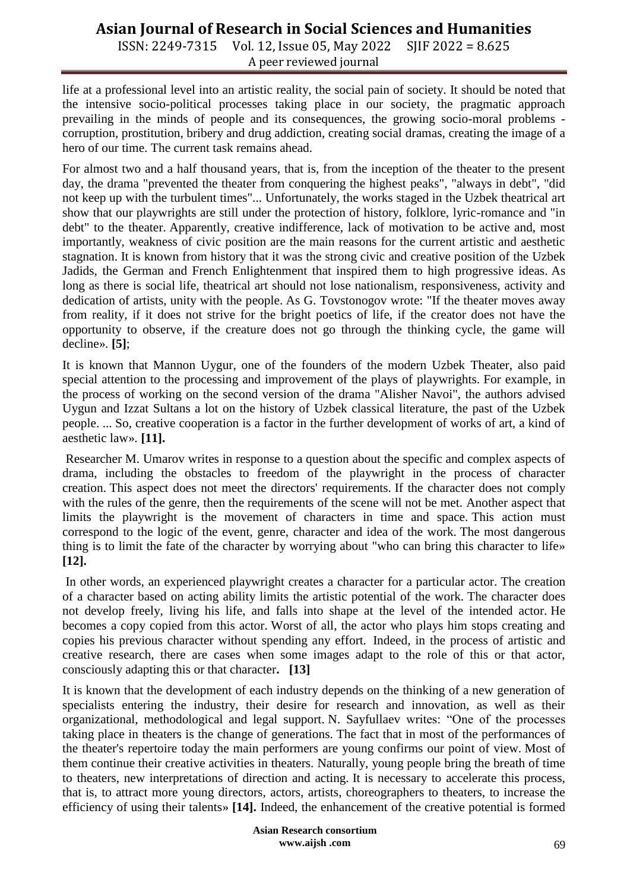ISSN: 2249-7315 Vol. 12, Issue 05, May 2022 SJIF 2022 = 8.625 A peer reviewed journal

life at a professional level into an artistic reality, the social pain of society. It should be noted that the intensive socio-political processes taking place in our society, the pragmatic approach prevailing in the minds of people and its consequences, the growing socio-moral problems corruption, prostitution, bribery and drug addiction, creating social dramas, creating the image of a hero of our time. The current task remains ahead.

For almost two and a half thousand years, that is, from the inception of the theater to the present day, the drama "prevented the theater from conquering the highest peaks", "always in debt", "did not keep up with the turbulent times"... Unfortunately, the works staged in the Uzbek theatrical art show that our playwrights are still under the protection of history, folklore, lyric-romance and "in debt" to the theater. Apparently, creative indifference, lack of motivation to be active and, most importantly, weakness of civic position are the main reasons for the current artistic and aesthetic stagnation. It is known from history that it was the strong civic and creative position of the Uzbek Jadids, the German and French Enlightenment that inspired them to high progressive ideas. As long as there is social life, theatrical art should not lose nationalism, responsiveness, activity and dedication of artists, unity with the people. As G. Tovstonogov wrote: "If the theater moves away from reality, if it does not strive for the bright poetics of life, if the creator does not have the opportunity to observe, if the creature does not go through the thinking cycle, the game will decline». **[5]**;

It is known that Mannon Uygur, one of the founders of the modern Uzbek Theater, also paid special attention to the processing and improvement of the plays of playwrights. For example, in the process of working on the second version of the drama "Alisher Navoi", the authors advised Uygun and Izzat Sultans a lot on the history of Uzbek classical literature, the past of the Uzbek people. ... So, creative cooperation is a factor in the further development of works of art, a kind of aesthetic law». **[11].**

Researcher M. Umarov writes in response to a question about the specific and complex aspects of drama, including the obstacles to freedom of the playwright in the process of character creation. This aspect does not meet the directors' requirements. If the character does not comply with the rules of the genre, then the requirements of the scene will not be met. Another aspect that limits the playwright is the movement of characters in time and space. This action must correspond to the logic of the event, genre, character and idea of the work. The most dangerous thing is to limit the fate of the character by worrying about "who can bring this character to life» **[12].**

In other words, an experienced playwright creates a character for a particular actor. The creation of a character based on acting ability limits the artistic potential of the work. The character does not develop freely, living his life, and falls into shape at the level of the intended actor. He becomes a copy copied from this actor. Worst of all, the actor who plays him stops creating and copies his previous character without spending any effort. Indeed, in the process of artistic and creative research, there are cases when some images adapt to the role of this or that actor, consciously adapting this or that character**. [13]**

It is known that the development of each industry depends on the thinking of a new generation of specialists entering the industry, their desire for research and innovation, as well as their organizational, methodological and legal support. N. Sayfullaev writes: "One of the processes taking place in theaters is the change of generations. The fact that in most of the performances of the theater's repertoire today the main performers are young confirms our point of view. Most of them continue their creative activities in theaters. Naturally, young people bring the breath of time to theaters, new interpretations of direction and acting. It is necessary to accelerate this process, that is, to attract more young directors, actors, artists, choreographers to theaters, to increase the efficiency of using their talents» **[14].** Indeed, the enhancement of the creative potential is formed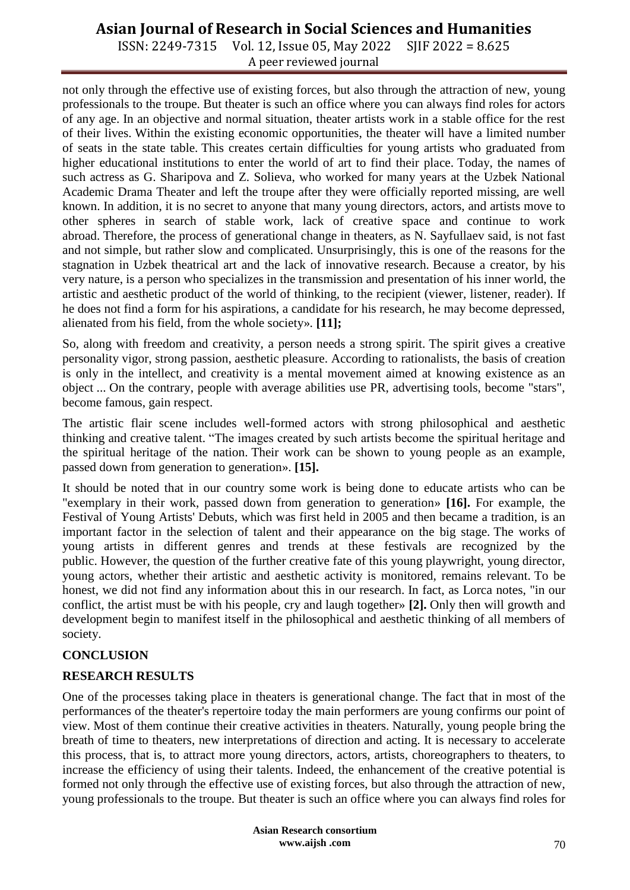ISSN: 2249-7315 Vol. 12, Issue 05, May 2022 SJIF 2022 = 8.625 A peer reviewed journal

not only through the effective use of existing forces, but also through the attraction of new, young professionals to the troupe. But theater is such an office where you can always find roles for actors of any age. In an objective and normal situation, theater artists work in a stable office for the rest of their lives. Within the existing economic opportunities, the theater will have a limited number of seats in the state table. This creates certain difficulties for young artists who graduated from higher educational institutions to enter the world of art to find their place. Today, the names of such actress as G. Sharipova and Z. Solieva, who worked for many years at the Uzbek National Academic Drama Theater and left the troupe after they were officially reported missing, are well known. In addition, it is no secret to anyone that many young directors, actors, and artists move to other spheres in search of stable work, lack of creative space and continue to work abroad. Therefore, the process of generational change in theaters, as N. Sayfullaev said, is not fast and not simple, but rather slow and complicated. Unsurprisingly, this is one of the reasons for the stagnation in Uzbek theatrical art and the lack of innovative research. Because a creator, by his very nature, is a person who specializes in the transmission and presentation of his inner world, the artistic and aesthetic product of the world of thinking, to the recipient (viewer, listener, reader). If he does not find a form for his aspirations, a candidate for his research, he may become depressed, alienated from his field, from the whole society». **[11];**

So, along with freedom and creativity, a person needs a strong spirit. The spirit gives a creative personality vigor, strong passion, aesthetic pleasure. According to rationalists, the basis of creation is only in the intellect, and creativity is a mental movement aimed at knowing existence as an object ... On the contrary, people with average abilities use PR, advertising tools, become "stars", become famous, gain respect.

The artistic flair scene includes well-formed actors with strong philosophical and aesthetic thinking and creative talent. "The images created by such artists become the spiritual heritage and the spiritual heritage of the nation. Their work can be shown to young people as an example, passed down from generation to generation». **[15].**

It should be noted that in our country some work is being done to educate artists who can be "exemplary in their work, passed down from generation to generation» **[16].** For example, the Festival of Young Artists' Debuts, which was first held in 2005 and then became a tradition, is an important factor in the selection of talent and their appearance on the big stage. The works of young artists in different genres and trends at these festivals are recognized by the public. However, the question of the further creative fate of this young playwright, young director, young actors, whether their artistic and aesthetic activity is monitored, remains relevant. To be honest, we did not find any information about this in our research. In fact, as Lorca notes, "in our conflict, the artist must be with his people, cry and laugh together» **[2].** Only then will growth and development begin to manifest itself in the philosophical and aesthetic thinking of all members of society.

### **CONCLUSION**

### **RESEARCH RESULTS**

One of the processes taking place in theaters is generational change. The fact that in most of the performances of the theater's repertoire today the main performers are young confirms our point of view. Most of them continue their creative activities in theaters. Naturally, young people bring the breath of time to theaters, new interpretations of direction and acting. It is necessary to accelerate this process, that is, to attract more young directors, actors, artists, choreographers to theaters, to increase the efficiency of using their talents. Indeed, the enhancement of the creative potential is formed not only through the effective use of existing forces, but also through the attraction of new, young professionals to the troupe. But theater is such an office where you can always find roles for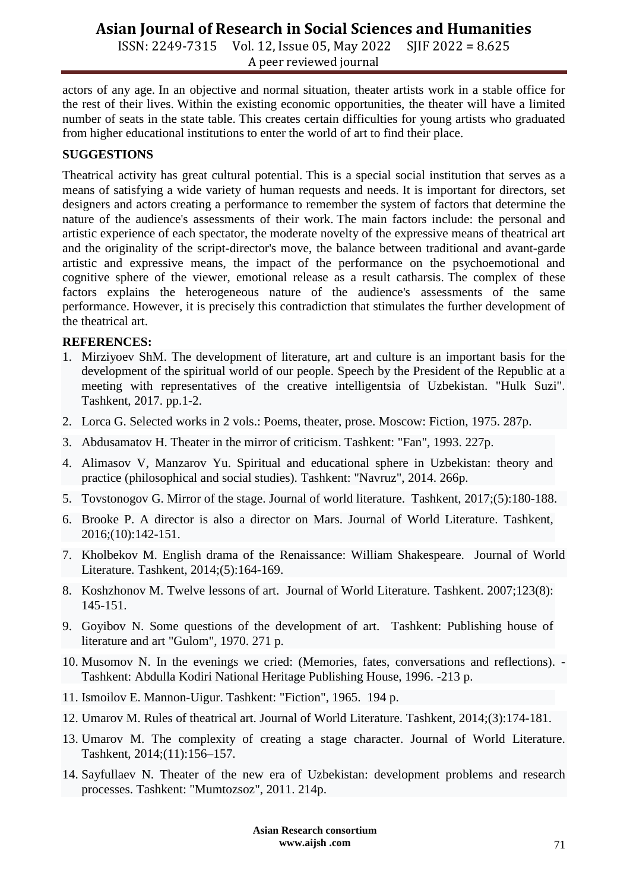ISSN: 2249-7315 Vol. 12, Issue 05, May 2022 SJIF 2022 = 8.625 A peer reviewed journal

actors of any age. In an objective and normal situation, theater artists work in a stable office for the rest of their lives. Within the existing economic opportunities, the theater will have a limited number of seats in the state table. This creates certain difficulties for young artists who graduated from higher educational institutions to enter the world of art to find their place.

## **SUGGESTIONS**

Theatrical activity has great cultural potential. This is a special social institution that serves as a means of satisfying a wide variety of human requests and needs. It is important for directors, set designers and actors creating a performance to remember the system of factors that determine the nature of the audience's assessments of their work. The main factors include: the personal and artistic experience of each spectator, the moderate novelty of the expressive means of theatrical art and the originality of the script-director's move, the balance between traditional and avant-garde artistic and expressive means, the impact of the performance on the psychoemotional and cognitive sphere of the viewer, emotional release as a result catharsis. The complex of these factors explains the heterogeneous nature of the audience's assessments of the same performance. However, it is precisely this contradiction that stimulates the further development of the theatrical art.

### **REFERENCES:**

- 1. Mirziyoev ShM. The development of literature, art and culture is an important basis for the development of the spiritual world of our people. Speech by the President of the Republic at a meeting with representatives of the creative intelligentsia of Uzbekistan. "Hulk Suzi". Tashkent, 2017. pp.1-2.
- 2. Lorca G. Selected works in 2 vols.: Poems, theater, prose. Moscow: Fiction, 1975. 287p.
- 3. Abdusamatov H. Theater in the mirror of criticism. Tashkent: "Fan", 1993. 227p.
- 4. Alimasov V, Manzarov Yu. Spiritual and educational sphere in Uzbekistan: theory and practice (philosophical and social studies). Tashkent: "Navruz", 2014. 266p.
- 5. Tovstonogov G. Mirror of the stage. Journal of world literature. Tashkent, 2017;(5):180-188.
- 6. Brooke P. A director is also a director on Mars. Journal of World Literature. Tashkent, 2016;(10):142-151.
- 7. Kholbekov M. English drama of the Renaissance: William Shakespeare. Journal of World Literature. Tashkent, 2014;(5):164-169.
- 8. Koshzhonov M. Twelve lessons of art. Journal of World Literature. Tashkent. 2007;123(8): 145-151.
- 9. Goyibov N. Some questions of the development of art. Tashkent: Publishing house of literature and art "Gulom", 1970. 271 p.
- 10. Musomov N. In the evenings we cried: (Memories, fates, conversations and reflections). Tashkent: Abdulla Kodiri National Heritage Publishing House, 1996. -213 p.
- 11. Ismoilov E. Mannon-Uigur. Tashkent: "Fiction", 1965. 194 p.
- 12. Umarov M. Rules of theatrical art. Journal of World Literature. Tashkent, 2014;(3):174-181.
- 13. Umarov M. The complexity of creating a stage character. Journal of World Literature. Tashkent, 2014;(11):156–157.
- 14. Sayfullaev N. Theater of the new era of Uzbekistan: development problems and research processes. Tashkent: "Mumtozsoz", 2011. 214p.